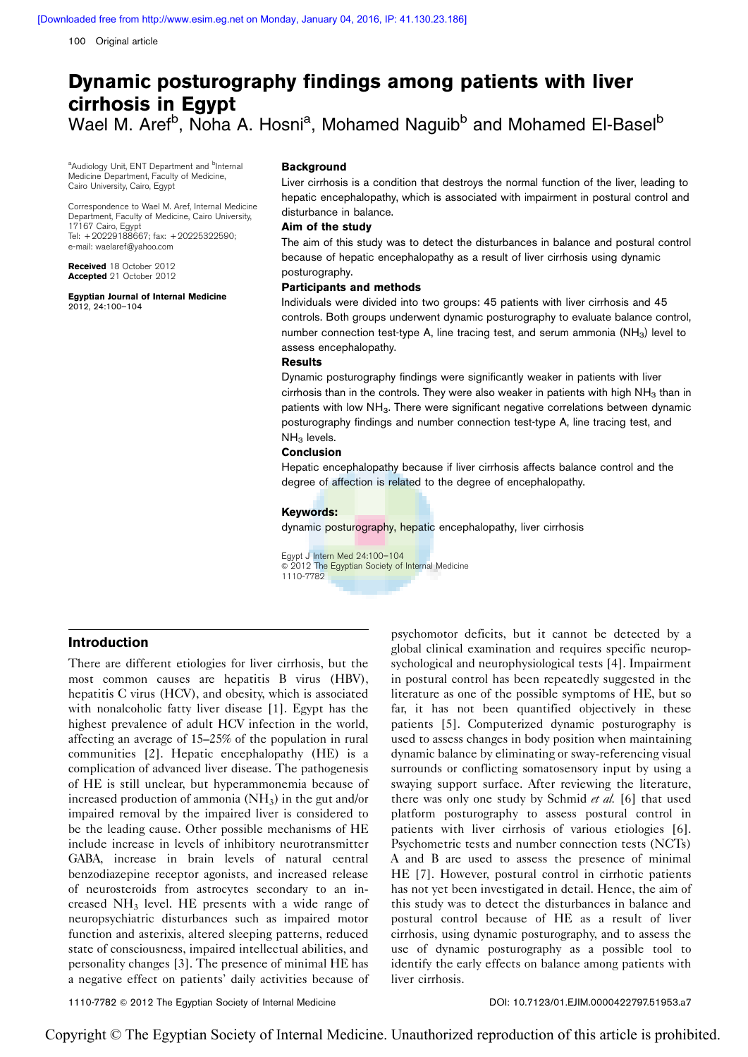100 Original article

# Dynamic posturography findings among patients with liver cirrhosis in Egypt Wael M. Aref<sup>b</sup>, Noha A. Hosni<sup>a</sup>, Mohamed Naguib<sup>b</sup> and Mohamed El-Basel<sup>b</sup>

<sup>a</sup>Audiology Unit, ENT Department and <sup>b</sup>Internal Medicine Department, Faculty of Medicine, Cairo University, Cairo, Egypt

Correspondence to Wael M. Aref, Internal Medicine Department, Faculty of Medicine, Cairo University, 17167 Cairo, Egypt Tel: + 20229188667; fax: + 20225322590; e-mail: [waelaref@yahoo.com](mailto:waelaref@yahoo.com)

Received 18 October 2012 Accepted 21 October 2012

Egyptian Journal of Internal Medicine 2012, 24:100–104

#### Background

Liver cirrhosis is a condition that destroys the normal function of the liver, leading to hepatic encephalopathy, which is associated with impairment in postural control and disturbance in balance.

## Aim of the study

The aim of this study was to detect the disturbances in balance and postural control because of hepatic encephalopathy as a result of liver cirrhosis using dynamic posturography.

#### Participants and methods

Individuals were divided into two groups: 45 patients with liver cirrhosis and 45 controls. Both groups underwent dynamic posturography to evaluate balance control, number connection test-type A, line tracing test, and serum ammonia  $(NH_3)$  level to assess encephalopathy.

## **Results**

Dynamic posturography findings were significantly weaker in patients with liver cirrhosis than in the controls. They were also weaker in patients with high  $NH<sub>3</sub>$  than in patients with low NH<sub>3</sub>. There were significant negative correlations between dynamic posturography findings and number connection test-type A, line tracing test, and  $NH<sub>3</sub>$  levels.

#### Conclusion

Hepatic encephalopathy because if liver cirrhosis affects balance control and the degree of affection is related to the degree of encephalopathy.

#### Keywords:

dynamic posturography, hepatic encephalopathy, liver cirrhosis

Egypt J Intern Med 24:100–104  $\circ$  2012 The Egyptian Society of Internal Medicine 1110-7782

## Introduction

There are different etiologies for liver cirrhosis, but the most common causes are hepatitis B virus (HBV), hepatitis C virus (HCV), and obesity, which is associated with nonalcoholic fatty liver disease [\[1](#page-4-0)]. Egypt has the highest prevalence of adult HCV infection in the world, affecting an average of 15–25% of the population in rural communities [\[2\]](#page-4-0). Hepatic encephalopathy (HE) is a complication of advanced liver disease. The pathogenesis of HE is still unclear, but hyperammonemia because of increased production of ammonia  $(NH_3)$  in the gut and/or impaired removal by the impaired liver is considered to be the leading cause. Other possible mechanisms of HE include increase in levels of inhibitory neurotransmitter GABA, increase in brain levels of natural central benzodiazepine receptor agonists, and increased release of neurosteroids from astrocytes secondary to an increased NH3 level. HE presents with a wide range of neuropsychiatric disturbances such as impaired motor function and asterixis, altered sleeping patterns, reduced state of consciousness, impaired intellectual abilities, and personality changes [\[3\]](#page-4-0). The presence of minimal HE has a negative effect on patients' daily activities because of psychomotor deficits, but it cannot be detected by a global clinical examination and requires specific neuropsychological and neurophysiological tests [\[4\]](#page-4-0). Impairment in postural control has been repeatedly suggested in the literature as one of the possible symptoms of HE, but so far, it has not been quantified objectively in these patients [\[5](#page-4-0)]. Computerized dynamic posturography is used to assess changes in body position when maintaining dynamic balance by eliminating or sway-referencing visual surrounds or conflicting somatosensory input by using a swaying support surface. After reviewing the literature, there was only one study by Schmid et al. [\[6\]](#page-4-0) that used platform posturography to assess postural control in patients with liver cirrhosis of various etiologies [\[6\]](#page-4-0). Psychometric tests and number connection tests (NCTs) A and B are used to assess the presence of minimal HE [\[7](#page-4-0)]. However, postural control in cirrhotic patients has not yet been investigated in detail. Hence, the aim of this study was to detect the disturbances in balance and postural control because of HE as a result of liver cirrhosis, using dynamic posturography, and to assess the use of dynamic posturography as a possible tool to identify the early effects on balance among patients with liver cirrhosis.

1110-7782 © 2012 The Egyptian Society of Internal Medicine DOI: 10.7123/01.EJIM.0000422797.51953.a7

Copyright © The Egyptian Society of Internal Medicine. Unauthorized reproduction of this article is prohibited.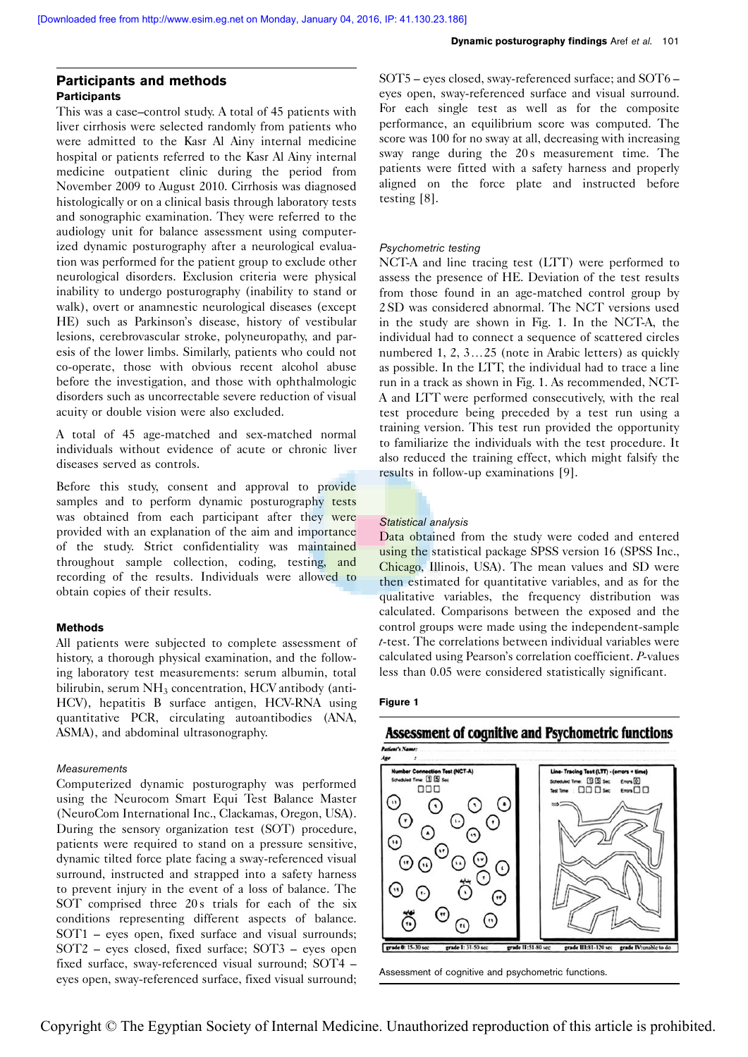# Participants and methods **Participants**

This was a case–control study. A total of 45 patients with liver cirrhosis were selected randomly from patients who were admitted to the Kasr Al Ainy internal medicine hospital or patients referred to the Kasr Al Ainy internal medicine outpatient clinic during the period from November 2009 to August 2010. Cirrhosis was diagnosed histologically or on a clinical basis through laboratory tests and sonographic examination. They were referred to the audiology unit for balance assessment using computerized dynamic posturography after a neurological evaluation was performed for the patient group to exclude other neurological disorders. Exclusion criteria were physical inability to undergo posturography (inability to stand or walk), overt or anamnestic neurological diseases (except HE) such as Parkinson's disease, history of vestibular lesions, cerebrovascular stroke, polyneuropathy, and paresis of the lower limbs. Similarly, patients who could not co-operate, those with obvious recent alcohol abuse before the investigation, and those with ophthalmologic disorders such as uncorrectable severe reduction of visual acuity or double vision were also excluded.

A total of 45 age-matched and sex-matched normal individuals without evidence of acute or chronic liver diseases served as controls.

Before this study, consent and approval to provide samples and to perform dynamic posturography tests was obtained from each participant after they were provided with an explanation of the aim and importance of the study. Strict confidentiality was maintained throughout sample collection, coding, testing, and recording of the results. Individuals were allowed to obtain copies of their results.

### Methods

All patients were subjected to complete assessment of history, a thorough physical examination, and the following laboratory test measurements: serum albumin, total bilirubin, serum  $NH<sub>3</sub>$  concentration, HCV antibody (anti-HCV), hepatitis B surface antigen, HCV-RNA using quantitative PCR, circulating autoantibodies (ANA, ASMA), and abdominal ultrasonography.

## Measurements

Computerized dynamic posturography was performed using the Neurocom Smart Equi Test Balance Master (NeuroCom International Inc., Clackamas, Oregon, USA). During the sensory organization test (SOT) procedure, patients were required to stand on a pressure sensitive, dynamic tilted force plate facing a sway-referenced visual surround, instructed and strapped into a safety harness to prevent injury in the event of a loss of balance. The SOT comprised three 20s trials for each of the six conditions representing different aspects of balance. SOT1 – eyes open, fixed surface and visual surrounds; SOT2 – eyes closed, fixed surface; SOT3 – eyes open fixed surface, sway-referenced visual surround; SOT4 – eyes open, sway-referenced surface, fixed visual surround; SOT5 – eyes closed, sway-referenced surface; and SOT6 – eyes open, sway-referenced surface and visual surround. For each single test as well as for the composite performance, an equilibrium score was computed. The score was 100 for no sway at all, decreasing with increasing sway range during the 20s measurement time. The patients were fitted with a safety harness and properly aligned on the force plate and instructed before testing [\[8\]](#page-4-0).

## Psychometric testing

NCT-A and line tracing test (LTT) were performed to assess the presence of HE. Deviation of the test results from those found in an age-matched control group by 2 SD was considered abnormal. The NCT versions used in the study are shown in Fig. 1. In the NCT-A, the individual had to connect a sequence of scattered circles numbered 1, 2,  $3...25$  (note in Arabic letters) as quickly as possible. In the LTT, the individual had to trace a line run in a track as shown in Fig. 1. As recommended, NCT-A and LTT were performed consecutively, with the real test procedure being preceded by a test run using a training version. This test run provided the opportunity to familiarize the individuals with the test procedure. It also reduced the training effect, which might falsify the results in follow-up examinations [\[9\]](#page-4-0).

## Statistical analysis

Data obtained from the study were coded and entered using the statistical package SPSS version 16 (SPSS Inc., Chicago, Illinois, USA). The mean values and SD were then estimated for quantitative variables, and as for the qualitative variables, the frequency distribution was calculated. Comparisons between the exposed and the control groups were made using the independent-sample t-test. The correlations between individual variables were calculated using Pearson's correlation coefficient. P-values less than 0.05 were considered statistically significant.

#### Figure 1

# Assessment of cognitive and Psychometric functions



Assessment of cognitive and psychometric functions.

Copyright © The Egyptian Society of Internal Medicine. Unauthorized reproduction of this article is prohibited.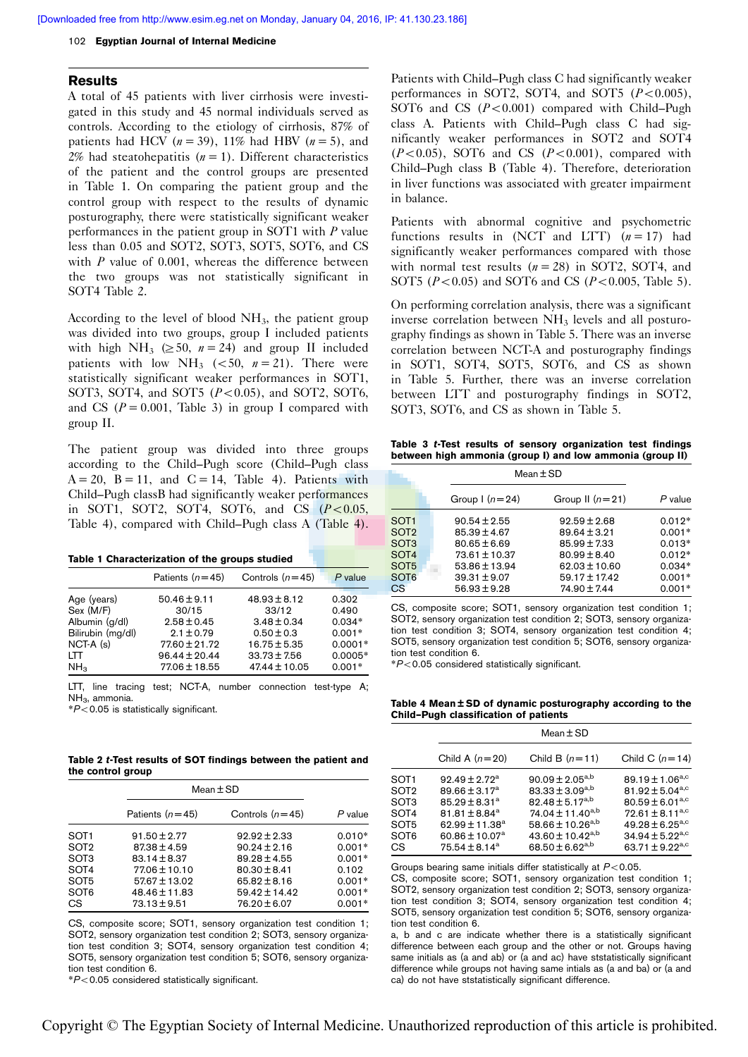#### <span id="page-2-0"></span>102 Egyptian Journal of Internal Medicine

#### Results

A total of 45 patients with liver cirrhosis were investigated in this study and 45 normal individuals served as controls. According to the etiology of cirrhosis, 87% of patients had HCV ( $n = 39$ ), 11% had HBV ( $n = 5$ ), and 2% had steatohepatitis  $(n = 1)$ . Different characteristics of the patient and the control groups are presented in Table 1. On comparing the patient group and the control group with respect to the results of dynamic posturography, there were statistically significant weaker performances in the patient group in SOT1 with  $P$  value less than 0.05 and SOT2, SOT3, SOT5, SOT6, and CS with  $P$  value of 0.001, whereas the difference between the two groups was not statistically significant in SOT4 Table 2.

According to the level of blood  $NH<sub>3</sub>$ , the patient group was divided into two groups, group I included patients with high NH<sub>3</sub> ( $\geq$  50,  $n = 24$ ) and group II included patients with low NH<sub>3</sub> (<50,  $n = 21$ ). There were statistically significant weaker performances in SOT1, SOT3, SOT4, and SOT5  $(P<0.05)$ , and SOT2, SOT6, and CS ( $P = 0.001$ , Table 3) in group I compared with group II.

The patient group was divided into three groups according to the Child–Pugh score (Child–Pugh class  $A = 20$ ,  $B = 11$ , and  $C = 14$ , Table 4). Patients with Child–Pugh classB had significantly weaker performances in SOT1, SOT2, SOT4, SOT6, and CS  $(P<0.05$ , Table 4), compared with Child–Pugh class A (Table 4).

|  | Table 1 Characterization of the groups studied |  |  |  |
|--|------------------------------------------------|--|--|--|
|--|------------------------------------------------|--|--|--|

|                   | Patients $(n=45)$ | Controls $(n=45)$ | $P$ value |
|-------------------|-------------------|-------------------|-----------|
| Age (years)       | $50.46 \pm 9.11$  | $48.93 \pm 8.12$  | 0.302     |
| Sex (M/F)         | 30/15             | 33/12             | 0.490     |
| Albumin (g/dl)    | $2.58 \pm 0.45$   | $3.48 \pm 0.34$   | $0.034*$  |
| Bilirubin (mg/dl) | $2.1 \pm 0.79$    | $0.50 \pm 0.3$    | $0.001*$  |
| $NCT-A(s)$        | $77.60 \pm 21.72$ | $16.75 \pm 5.35$  | $0.0001*$ |
| LTT               | $96.44 \pm 20.44$ | $33.73 \pm 7.56$  | $0.0005*$ |
| NH <sub>3</sub>   | $77.06 \pm 18.55$ | $47.44 \pm 10.05$ | $0.001*$  |

LTT, line tracing test; NCT-A, number connection test-type A; NH<sub>2</sub>, ammonia.

 $*P<$  0.05 is statistically significant.

Table 2 t-Test results of SOT findings between the patient and the control group

|                  | $Mean \pm SD$     |                   |           |
|------------------|-------------------|-------------------|-----------|
|                  | Patients $(n=45)$ | Controls $(n=45)$ | $P$ value |
| SOT <sub>1</sub> | $91.50 \pm 2.77$  | $92.92 \pm 2.33$  | $0.010*$  |
| SOT <sub>2</sub> | $87.38 \pm 4.59$  | $90.24 \pm 2.16$  | $0.001*$  |
| SOT <sub>3</sub> | $83.14 \pm 8.37$  | $89.28 \pm 4.55$  | $0.001*$  |
| SOT <sub>4</sub> | $77.06 \pm 10.10$ | $80.30 \pm 8.41$  | 0.102     |
| SOT <sub>5</sub> | $57.67 \pm 13.02$ | $65.82 \pm 8.16$  | $0.001*$  |
| SOT <sub>6</sub> | 48.46 ± 11.83     | $59.42 \pm 14.42$ | $0.001*$  |
| CS.              | $73.13 \pm 9.51$  | $76.20 \pm 6.07$  | $0.001*$  |

CS, composite score; SOT1, sensory organization test condition 1; SOT2, sensory organization test condition 2; SOT3, sensory organization test condition 3; SOT4, sensory organization test condition 4; SOT5, sensory organization test condition 5; SOT6, sensory organization test condition 6.

 $*P<$  0.05 considered statistically significant.

Patients with Child–Pugh class C had significantly weaker performances in SOT2, SOT4, and SOT5  $(P<0.005)$ , SOT6 and CS  $(P<0.001)$  compared with Child–Pugh class A. Patients with Child–Pugh class C had significantly weaker performances in SOT2 and SOT4  $(P<0.05)$ , SOT6 and CS  $(P<0.001)$ , compared with Child–Pugh class B (Table 4). Therefore, deterioration in liver functions was associated with greater impairment in balance.

Patients with abnormal cognitive and psychometric functions results in (NCT and LTT)  $(n = 17)$  had significantly weaker performances compared with those with normal test results  $(n = 28)$  in SOT2, SOT4, and SOT5 ( $P < 0.05$ ) and SOT6 and CS ( $P < 0.005$ , [Table 5\)](#page-3-0).

On performing correlation analysis, there was a significant inverse correlation between  $NH<sub>3</sub>$  levels and all posturography findings as shown in [Table 5.](#page-3-0) There was an inverse correlation between NCT-A and posturography findings in SOT1, SOT4, SOT5, SOT6, and CS as shown in [Table 5](#page-3-0). Further, there was an inverse correlation between LTT and posturography findings in SOT2, SOT3, SOT6, and CS as shown in [Table 5.](#page-3-0)

Table 3 t-Test results of sensory organization test findings between high ammonia (group I) and low ammonia (group II)

|                   |                   | $Mean \pm SD$     |           |
|-------------------|-------------------|-------------------|-----------|
|                   | Group $(n=24)$    | Group II $(n=21)$ | $P$ value |
| SOT <sub>1</sub>  | $90.54 \pm 2.55$  | $92.59 \pm 2.68$  | $0.012*$  |
| SOT <sub>2</sub>  | $85.39 \pm 4.67$  | $89.64 \pm 3.21$  | $0.001*$  |
| SO <sub>T</sub> 3 | $80.65 \pm 6.69$  | $85.99 \pm 7.33$  | $0.013*$  |
| SOT <sub>4</sub>  | $73.61 \pm 10.37$ | $80.99 \pm 8.40$  | $0.019*$  |
| SOT <sub>5</sub>  | $53.86 \pm 13.94$ | $62.03 \pm 10.60$ | $0.034*$  |
| SOT <sub>6</sub>  | $39.31 \pm 9.07$  | $59.17 \pm 17.42$ | $0.001*$  |
| CS <sup>-</sup>   | $56.93 \pm 9.28$  | 74.90 ± 7.44      | $0.001*$  |

CS, composite score; SOT1, sensory organization test condition 1; SOT2, sensory organization test condition 2; SOT3, sensory organization test condition 3; SOT4, sensory organization test condition 4; SOT5, sensory organization test condition 5; SOT6, sensory organization test condition 6.

 $*P<$  0.05 considered statistically significant.

Table 4 Mean ± SD of dynamic posturography according to the Child–Pugh classification of patients

|                                                    | $Mean \pm SD$                                                                                                                                                                                        |                                                                                                                                                                                                                     |                                                                                                                                                                                                               |  |
|----------------------------------------------------|------------------------------------------------------------------------------------------------------------------------------------------------------------------------------------------------------|---------------------------------------------------------------------------------------------------------------------------------------------------------------------------------------------------------------------|---------------------------------------------------------------------------------------------------------------------------------------------------------------------------------------------------------------|--|
|                                                    | Child A $(n=20)$                                                                                                                                                                                     | Child B $(n=11)$                                                                                                                                                                                                    | Child C $(n=14)$                                                                                                                                                                                              |  |
| SOT1<br>SOT2<br>SOT3<br>SOT4<br>SOT5<br>SOT6<br>СS | $92.49 \pm 2.72^a$<br>89.66 $\pm$ 3.17 <sup>a</sup><br>$85.29 \pm 8.31^a$<br>$81.81 \pm 8.84$ <sup>a</sup><br>62.99 $\pm$ 11.38 <sup>a</sup><br>60.86 $\pm$ 10.07 <sup>a</sup><br>$75.54 \pm 8.14^a$ | 90.09 ± 2.05 <sup>a,b</sup><br>83.33 ± 3.09 <sup>a,b</sup><br>82.48 ± 5.17 <sup>a,b</sup><br>$74.04 \pm 11.40^{a,b}$<br>58.66 ± 10.26 <sup>a,b</sup><br>43.60 ± 10.42 <sup>a,b</sup><br>68.50 ± 6.62 <sup>a,b</sup> | 89.19 $\pm$ 1.06 <sup>a,c</sup><br>$81.92 \pm 5.04^{a,c}$<br>$80.59 \pm 6.01^{a,c}$<br>$72.61 \pm 8.11^{a,c}$<br>$49.28 \pm 6.25^{a,c}$<br>34.94 $\pm$ 5.22 <sup>a,c</sup><br>63.71 $\pm$ 9.22 <sup>a,c</sup> |  |

Groups bearing same initials differ statistically at  $P<$  0.05.

CS, composite score; SOT1, sensory organization test condition 1; SOT2, sensory organization test condition 2; SOT3, sensory organization test condition 3; SOT4, sensory organization test condition 4; SOT5, sensory organization test condition 5; SOT6, sensory organization test condition 6.

a, b and c are indicate whether there is a statistically significant difference between each group and the other or not. Groups having same initials as (a and ab) or (a and ac) have ststatistically significant difference while groups not having same intials as (a and ba) or (a and ca) do not have ststatistically significant difference.

Copyright © The Egyptian Society of Internal Medicine. Unauthorized reproduction of this article is prohibited.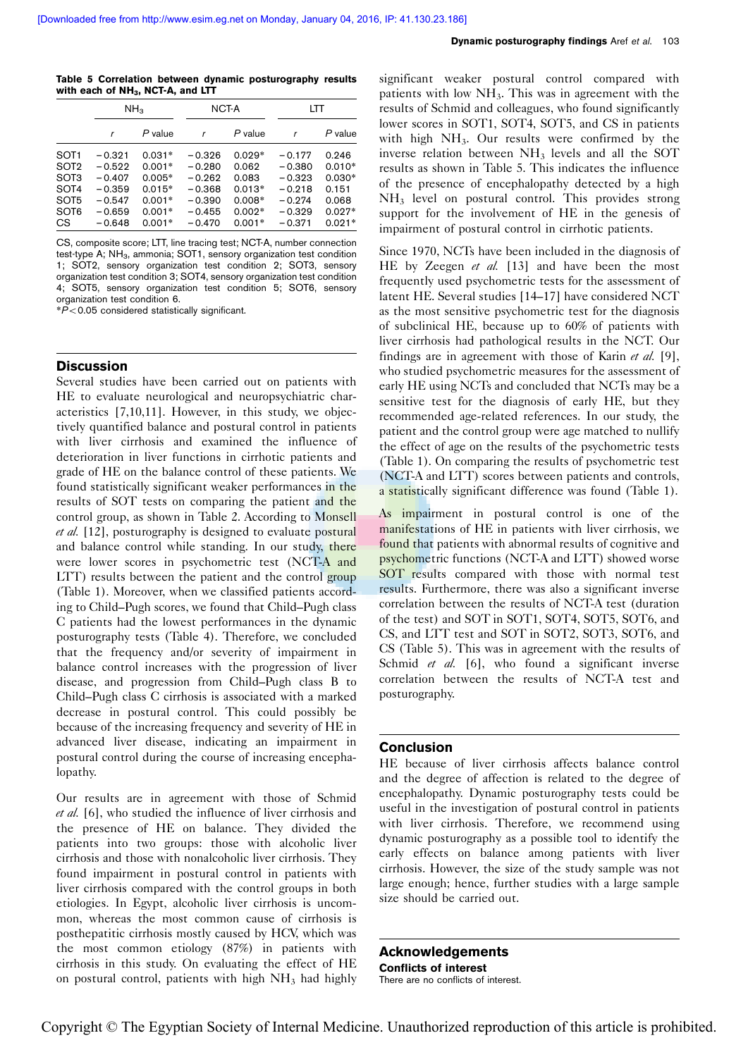<span id="page-3-0"></span>Table 5 Correlation between dynamic posturography results with each of  $NH<sub>3</sub>$ , NCT-A, and LTT

|                  | NH <sub>3</sub> |          | NCT-A    |           | LTT      |          |
|------------------|-----------------|----------|----------|-----------|----------|----------|
|                  | r               | P value  |          | $P$ value |          | P value  |
| SOT <sub>1</sub> | $-0.321$        | $0.031*$ | $-0.326$ | $0.029*$  | $-0.177$ | 0.246    |
| SOT <sub>2</sub> | $-0.522$        | $0.001*$ | $-0.280$ | 0.062     | $-0.380$ | $0.010*$ |
| SOT <sub>3</sub> | $-0.407$        | $0.005*$ | $-0.262$ | 0.083     | $-0.323$ | $0.030*$ |
| SOT4             | $-0.359$        | $0.015*$ | $-0.368$ | $0.013*$  | $-0.218$ | 0.151    |
| SOT <sub>5</sub> | $-0.547$        | $0.001*$ | $-0.390$ | $0.008*$  | $-0.274$ | 0.068    |
| SOT <sub>6</sub> | $-0.659$        | $0.001*$ | $-0.455$ | $0.002*$  | $-0.329$ | $0.027*$ |
| <b>CS</b>        | $-0.648$        | $0.001*$ | $-0.470$ | $0.001*$  | $-0.371$ | $0.021*$ |

CS, composite score; LTT, line tracing test; NCT-A, number connection test-type A; NH<sub>3</sub>, ammonia; SOT1, sensory organization test condition 1; SOT2, sensory organization test condition 2; SOT3, sensory organization test condition 3; SOT4, sensory organization test condition 4; SOT5, sensory organization test condition 5; SOT6, sensory organization test condition 6.

 $*P$ <0.05 considered statistically significant.

## **Discussion**

Several studies have been carried out on patients with HE to evaluate neurological and neuropsychiatric characteristics [\[7,10,11](#page-4-0)]. However, in this study, we objectively quantified balance and postural control in patients with liver cirrhosis and examined the influence of deterioration in liver functions in cirrhotic patients and grade of HE on the balance control of these patients. We found statistically significant weaker performances in the results of SOT tests on comparing the patient and the control group, as shown in [Table 2](#page-2-0). According to Monsell et al. [\[12](#page-4-0)], posturography is designed to evaluate postural and balance control while standing. In our study, there were lower scores in psychometric test (NCT-A and LTT) results between the patient and the control group ([Table 1](#page-2-0)). Moreover, when we classified patients according to Child–Pugh scores, we found that Child–Pugh class C patients had the lowest performances in the dynamic posturography tests [\(Table 4\)](#page-2-0). Therefore, we concluded that the frequency and/or severity of impairment in balance control increases with the progression of liver disease, and progression from Child–Pugh class B to Child–Pugh class C cirrhosis is associated with a marked decrease in postural control. This could possibly be because of the increasing frequency and severity of HE in advanced liver disease, indicating an impairment in postural control during the course of increasing encephalopathy.

Our results are in agreement with those of Schmid et al. [\[6](#page-4-0)], who studied the influence of liver cirrhosis and the presence of HE on balance. They divided the patients into two groups: those with alcoholic liver cirrhosis and those with nonalcoholic liver cirrhosis. They found impairment in postural control in patients with liver cirrhosis compared with the control groups in both etiologies. In Egypt, alcoholic liver cirrhosis is uncommon, whereas the most common cause of cirrhosis is posthepatitic cirrhosis mostly caused by HCV, which was the most common etiology (87%) in patients with cirrhosis in this study. On evaluating the effect of HE on postural control, patients with high  $NH<sub>3</sub>$  had highly

significant weaker postural control compared with patients with low  $NH<sub>3</sub>$ . This was in agreement with the results of Schmid and colleagues, who found significantly lower scores in SOT1, SOT4, SOT5, and CS in patients with high  $NH<sub>3</sub>$ . Our results were confirmed by the inverse relation between NH3 levels and all the SOT results as shown in Table 5. This indicates the influence of the presence of encephalopathy detected by a high NH3 level on postural control. This provides strong support for the involvement of HE in the genesis of impairment of postural control in cirrhotic patients.

Since 1970, NCTs have been included in the diagnosis of HE by Zeegen et al. [\[13](#page-4-0)] and have been the most frequently used psychometric tests for the assessment of latent HE. Several studies [\[14–17](#page-4-0)] have considered NCT as the most sensitive psychometric test for the diagnosis of subclinical HE, because up to 60% of patients with liver cirrhosis had pathological results in the NCT. Our findings are in agreement with those of Karin et al.  $[9]$  $[9]$ , who studied psychometric measures for the assessment of early HE using NCTs and concluded that NCTs may be a sensitive test for the diagnosis of early HE, but they recommended age-related references. In our study, the patient and the control group were age matched to nullify the effect of age on the results of the psychometric tests ([Table 1](#page-2-0)). On comparing the results of psychometric test (NCT-A and LTT) scores between patients and controls, a statistically significant difference was found ([Table 1](#page-2-0)).

As impairment in postural control is one of the manifestations of HE in patients with liver cirrhosis, we found that patients with abnormal results of cognitive and psychometric functions (NCT-A and LTT) showed worse SOT results compared with those with normal test results. Furthermore, there was also a significant inverse correlation between the results of NCT-A test (duration of the test) and SOT in SOT1, SOT4, SOT5, SOT6, and CS, and LTT test and SOT in SOT2, SOT3, SOT6, and CS (Table 5). This was in agreement with the results of Schmid et al. [\[6\]](#page-4-0), who found a significant inverse correlation between the results of NCT-A test and posturography.

## Conclusion

HE because of liver cirrhosis affects balance control and the degree of affection is related to the degree of encephalopathy. Dynamic posturography tests could be useful in the investigation of postural control in patients with liver cirrhosis. Therefore, we recommend using dynamic posturography as a possible tool to identify the early effects on balance among patients with liver cirrhosis. However, the size of the study sample was not large enough; hence, further studies with a large sample size should be carried out.

Acknowledgements Conflicts of interest There are no conflicts of interest.

Copyright © The Egyptian Society of Internal Medicine. Unauthorized reproduction of this article is prohibited.